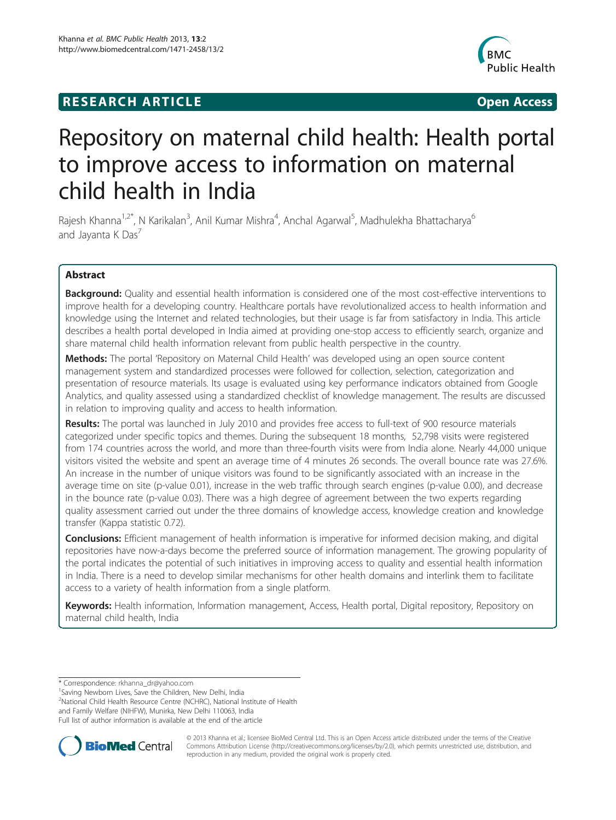# **RESEARCH ARTICLE Example 2014 CONSUMING A RESEARCH ARTICLE**



# Repository on maternal child health: Health portal to improve access to information on maternal child health in India

Rajesh Khanna<sup>1,2\*</sup>, N Karikalan<sup>3</sup>, Anil Kumar Mishra<sup>4</sup>, Anchal Agarwal<sup>5</sup>, Madhulekha Bhattacharya<sup>6</sup> and Jayanta K Das<sup>7</sup>

# Abstract

**Background:** Quality and essential health information is considered one of the most cost-effective interventions to improve health for a developing country. Healthcare portals have revolutionalized access to health information and knowledge using the Internet and related technologies, but their usage is far from satisfactory in India. This article describes a health portal developed in India aimed at providing one-stop access to efficiently search, organize and share maternal child health information relevant from public health perspective in the country.

Methods: The portal 'Repository on Maternal Child Health' was developed using an open source content management system and standardized processes were followed for collection, selection, categorization and presentation of resource materials. Its usage is evaluated using key performance indicators obtained from Google Analytics, and quality assessed using a standardized checklist of knowledge management. The results are discussed in relation to improving quality and access to health information.

Results: The portal was launched in July 2010 and provides free access to full-text of 900 resource materials categorized under specific topics and themes. During the subsequent 18 months, 52,798 visits were registered from 174 countries across the world, and more than three-fourth visits were from India alone. Nearly 44,000 unique visitors visited the website and spent an average time of 4 minutes 26 seconds. The overall bounce rate was 27.6%. An increase in the number of unique visitors was found to be significantly associated with an increase in the average time on site (p-value 0.01), increase in the web traffic through search engines (p-value 0.00), and decrease in the bounce rate (p-value 0.03). There was a high degree of agreement between the two experts regarding quality assessment carried out under the three domains of knowledge access, knowledge creation and knowledge transfer (Kappa statistic 0.72).

**Conclusions:** Efficient management of health information is imperative for informed decision making, and digital repositories have now-a-days become the preferred source of information management. The growing popularity of the portal indicates the potential of such initiatives in improving access to quality and essential health information in India. There is a need to develop similar mechanisms for other health domains and interlink them to facilitate access to a variety of health information from a single platform.

Keywords: Health information, Information management, Access, Health portal, Digital repository, Repository on maternal child health, India

\* Correspondence: [rkhanna\\_dr@yahoo.com](mailto:rkhanna_dr@yahoo.com) <sup>1</sup>

<sup>1</sup>Saving Newborn Lives, Save the Children, New Delhi, India 2 National Child Health Resource Centre (NCHRC), National Institute of Health

and Family Welfare (NIHFW), Munirka, New Delhi 110063, India

Full list of author information is available at the end of the article



© 2013 Khanna et al.; licensee BioMed Central Ltd. This is an Open Access article distributed under the terms of the Creative Commons Attribution License [\(http://creativecommons.org/licenses/by/2.0\)](http://creativecommons.org/licenses/by/2.0), which permits unrestricted use, distribution, and reproduction in any medium, provided the original work is properly cited.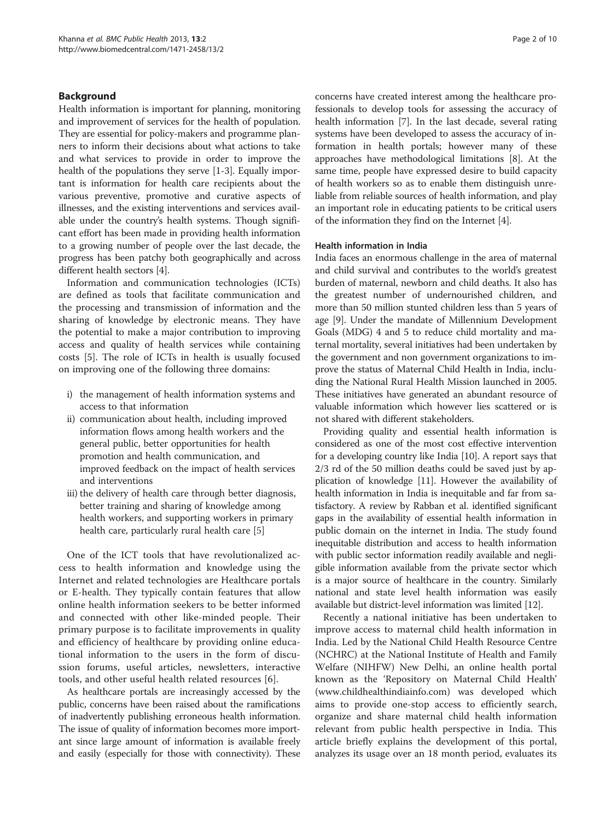# Background

Health information is important for planning, monitoring and improvement of services for the health of population. They are essential for policy-makers and programme planners to inform their decisions about what actions to take and what services to provide in order to improve the health of the populations they serve [[1-3\]](#page-9-0). Equally important is information for health care recipients about the various preventive, promotive and curative aspects of illnesses, and the existing interventions and services available under the country's health systems. Though significant effort has been made in providing health information to a growing number of people over the last decade, the progress has been patchy both geographically and across different health sectors [[4\]](#page-9-0).

Information and communication technologies (ICTs) are defined as tools that facilitate communication and the processing and transmission of information and the sharing of knowledge by electronic means. They have the potential to make a major contribution to improving access and quality of health services while containing costs [\[5](#page-9-0)]. The role of ICTs in health is usually focused on improving one of the following three domains:

- i) the management of health information systems and access to that information
- ii) communication about health, including improved information flows among health workers and the general public, better opportunities for health promotion and health communication, and improved feedback on the impact of health services and interventions
- iii) the delivery of health care through better diagnosis, better training and sharing of knowledge among health workers, and supporting workers in primary health care, particularly rural health care [\[5\]](#page-9-0)

One of the ICT tools that have revolutionalized access to health information and knowledge using the Internet and related technologies are Healthcare portals or E-health. They typically contain features that allow online health information seekers to be better informed and connected with other like-minded people. Their primary purpose is to facilitate improvements in quality and efficiency of healthcare by providing online educational information to the users in the form of discussion forums, useful articles, newsletters, interactive tools, and other useful health related resources [[6\]](#page-9-0).

As healthcare portals are increasingly accessed by the public, concerns have been raised about the ramifications of inadvertently publishing erroneous health information. The issue of quality of information becomes more important since large amount of information is available freely and easily (especially for those with connectivity). These

concerns have created interest among the healthcare professionals to develop tools for assessing the accuracy of health information [\[7](#page-9-0)]. In the last decade, several rating systems have been developed to assess the accuracy of information in health portals; however many of these approaches have methodological limitations [[8](#page-9-0)]. At the same time, people have expressed desire to build capacity of health workers so as to enable them distinguish unreliable from reliable sources of health information, and play an important role in educating patients to be critical users of the information they find on the Internet [[4](#page-9-0)].

#### Health information in India

India faces an enormous challenge in the area of maternal and child survival and contributes to the world's greatest burden of maternal, newborn and child deaths. It also has the greatest number of undernourished children, and more than 50 million stunted children less than 5 years of age [[9\]](#page-9-0). Under the mandate of Millennium Development Goals (MDG) 4 and 5 to reduce child mortality and maternal mortality, several initiatives had been undertaken by the government and non government organizations to improve the status of Maternal Child Health in India, including the National Rural Health Mission launched in 2005. These initiatives have generated an abundant resource of valuable information which however lies scattered or is not shared with different stakeholders.

Providing quality and essential health information is considered as one of the most cost effective intervention for a developing country like India [\[10\]](#page-9-0). A report says that 2/3 rd of the 50 million deaths could be saved just by application of knowledge [[11](#page-9-0)]. However the availability of health information in India is inequitable and far from satisfactory. A review by Rabban et al. identified significant gaps in the availability of essential health information in public domain on the internet in India. The study found inequitable distribution and access to health information with public sector information readily available and negligible information available from the private sector which is a major source of healthcare in the country. Similarly national and state level health information was easily available but district-level information was limited [\[12](#page-9-0)].

Recently a national initiative has been undertaken to improve access to maternal child health information in India. Led by the National Child Health Resource Centre (NCHRC) at the National Institute of Health and Family Welfare (NIHFW) New Delhi, an online health portal known as the 'Repository on Maternal Child Health' ([www.childhealthindiainfo.com](http://www.childhealthindiainfo.com)) was developed which aims to provide one-stop access to efficiently search, organize and share maternal child health information relevant from public health perspective in India. This article briefly explains the development of this portal, analyzes its usage over an 18 month period, evaluates its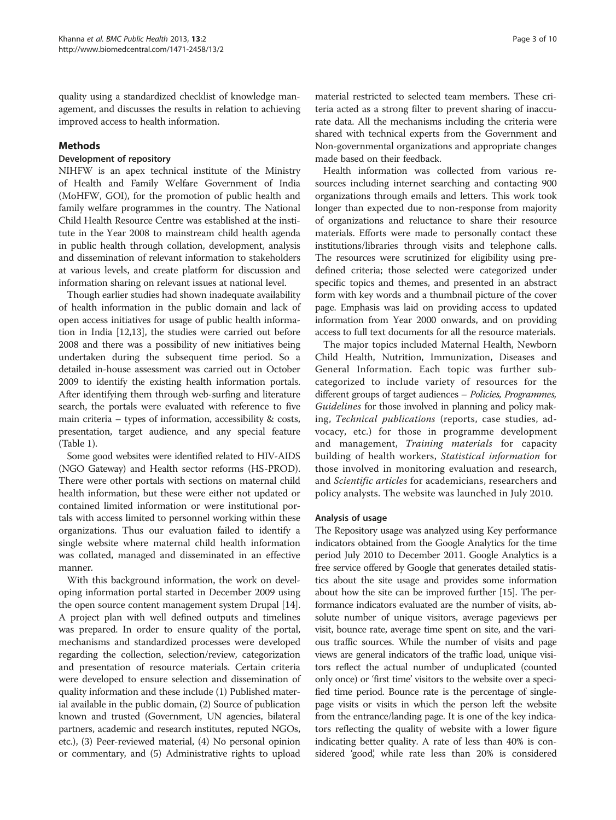quality using a standardized checklist of knowledge management, and discusses the results in relation to achieving improved access to health information.

# Methods

### Development of repository

NIHFW is an apex technical institute of the Ministry of Health and Family Welfare Government of India (MoHFW, GOI), for the promotion of public health and family welfare programmes in the country. The National Child Health Resource Centre was established at the institute in the Year 2008 to mainstream child health agenda in public health through collation, development, analysis and dissemination of relevant information to stakeholders at various levels, and create platform for discussion and information sharing on relevant issues at national level.

Though earlier studies had shown inadequate availability of health information in the public domain and lack of open access initiatives for usage of public health information in India [\[12,13\]](#page-9-0), the studies were carried out before 2008 and there was a possibility of new initiatives being undertaken during the subsequent time period. So a detailed in-house assessment was carried out in October 2009 to identify the existing health information portals. After identifying them through web-surfing and literature search, the portals were evaluated with reference to five main criteria – types of information, accessibility & costs, presentation, target audience, and any special feature (Table [1](#page-3-0)).

Some good websites were identified related to HIV-AIDS (NGO Gateway) and Health sector reforms (HS-PROD). There were other portals with sections on maternal child health information, but these were either not updated or contained limited information or were institutional portals with access limited to personnel working within these organizations. Thus our evaluation failed to identify a single website where maternal child health information was collated, managed and disseminated in an effective manner.

With this background information, the work on developing information portal started in December 2009 using the open source content management system Drupal [[14](#page-9-0)]. A project plan with well defined outputs and timelines was prepared. In order to ensure quality of the portal, mechanisms and standardized processes were developed regarding the collection, selection/review, categorization and presentation of resource materials. Certain criteria were developed to ensure selection and dissemination of quality information and these include (1) Published material available in the public domain, (2) Source of publication known and trusted (Government, UN agencies, bilateral partners, academic and research institutes, reputed NGOs, etc.), (3) Peer-reviewed material, (4) No personal opinion or commentary, and (5) Administrative rights to upload

material restricted to selected team members. These criteria acted as a strong filter to prevent sharing of inaccurate data. All the mechanisms including the criteria were shared with technical experts from the Government and Non-governmental organizations and appropriate changes made based on their feedback.

Health information was collected from various resources including internet searching and contacting 900 organizations through emails and letters. This work took longer than expected due to non-response from majority of organizations and reluctance to share their resource materials. Efforts were made to personally contact these institutions/libraries through visits and telephone calls. The resources were scrutinized for eligibility using predefined criteria; those selected were categorized under specific topics and themes, and presented in an abstract form with key words and a thumbnail picture of the cover page. Emphasis was laid on providing access to updated information from Year 2000 onwards, and on providing access to full text documents for all the resource materials.

The major topics included Maternal Health, Newborn Child Health, Nutrition, Immunization, Diseases and General Information. Each topic was further subcategorized to include variety of resources for the different groups of target audiences – Policies, Programmes, Guidelines for those involved in planning and policy making, Technical publications (reports, case studies, advocacy, etc.) for those in programme development and management, Training materials for capacity building of health workers, Statistical information for those involved in monitoring evaluation and research, and Scientific articles for academicians, researchers and policy analysts. The website was launched in July 2010.

#### Analysis of usage

The Repository usage was analyzed using Key performance indicators obtained from the Google Analytics for the time period July 2010 to December 2011. Google Analytics is a free service offered by Google that generates detailed statistics about the site usage and provides some information about how the site can be improved further [\[15](#page-9-0)]. The performance indicators evaluated are the number of visits, absolute number of unique visitors, average pageviews per visit, bounce rate, average time spent on site, and the various traffic sources. While the number of visits and page views are general indicators of the traffic load, unique visitors reflect the actual number of unduplicated (counted only once) or 'first time' visitors to the website over a specified time period. Bounce rate is the percentage of singlepage visits or visits in which the person left the website from the entrance/landing page. It is one of the key indicators reflecting the quality of website with a lower figure indicating better quality. A rate of less than 40% is considered 'good', while rate less than 20% is considered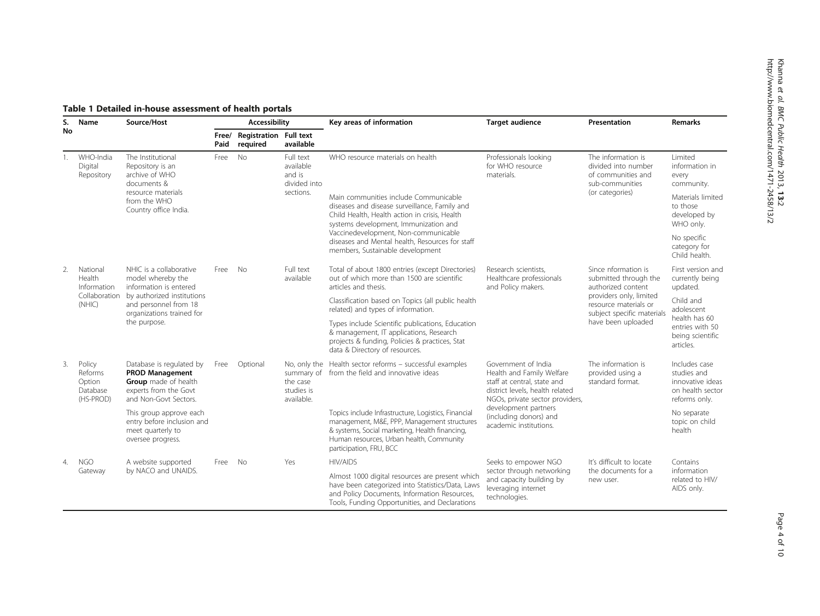| S. | Name                                                         | Source/Host                                                                                                                                                                | Accessibility                                    |                  |                                                               | Key areas of information                                                                                                                                                                                                                                            | <b>Target audience</b>                                                                                                                                                                                | Presentation                                                                                                                                                               | <b>Remarks</b>                                                                        |
|----|--------------------------------------------------------------|----------------------------------------------------------------------------------------------------------------------------------------------------------------------------|--------------------------------------------------|------------------|---------------------------------------------------------------|---------------------------------------------------------------------------------------------------------------------------------------------------------------------------------------------------------------------------------------------------------------------|-------------------------------------------------------------------------------------------------------------------------------------------------------------------------------------------------------|----------------------------------------------------------------------------------------------------------------------------------------------------------------------------|---------------------------------------------------------------------------------------|
| No |                                                              |                                                                                                                                                                            | Free/ Registration Full text<br>required<br>Paid |                  | available                                                     |                                                                                                                                                                                                                                                                     |                                                                                                                                                                                                       |                                                                                                                                                                            |                                                                                       |
| 1. | WHO-India<br>Digital<br>Repository                           | The Institutional<br>Repository is an<br>archive of WHO<br>documents &<br>resource materials<br>from the WHO<br>Country office India.                                      | Free                                             | <b>No</b>        | Full text<br>available<br>and is<br>divided into<br>sections. | WHO resource materials on health                                                                                                                                                                                                                                    | Professionals looking<br>for WHO resource<br>materials.                                                                                                                                               | The information is<br>divided into number<br>of communities and<br>sub-communities                                                                                         | Limited<br>information in<br>every<br>community.                                      |
|    |                                                              |                                                                                                                                                                            |                                                  |                  |                                                               | Main communities include Communicable<br>diseases and disease surveillance, Family and<br>Child Health, Health action in crisis, Health<br>systems development, Immunization and                                                                                    |                                                                                                                                                                                                       | (or categories)                                                                                                                                                            | Materials limited<br>to those<br>developed by<br>WHO only.                            |
|    |                                                              |                                                                                                                                                                            |                                                  |                  |                                                               | Vaccinedevelopment, Non-communicable<br>diseases and Mental health. Resources for staff<br>members, Sustainable development                                                                                                                                         |                                                                                                                                                                                                       |                                                                                                                                                                            | No specific<br>category for<br>Child health.                                          |
| 2. | National<br>Health<br>Information<br>Collaboration<br>(NHIC) | NHIC is a collaborative<br>model whereby the<br>information is entered<br>by authorized institutions<br>and personnel from 18<br>organizations trained for<br>the purpose. | Free                                             | <b>No</b>        | Full text<br>available                                        | Total of about 1800 entries (except Directories)<br>out of which more than 1500 are scientific<br>articles and thesis.                                                                                                                                              | Research scientists.<br>Healthcare professionals<br>and Policy makers.                                                                                                                                | Since nformation is<br>submitted through the<br>authorized content<br>providers only, limited<br>resource materials or<br>subject specific materials<br>have been uploaded | First version and<br>currently being<br>updated.                                      |
|    |                                                              |                                                                                                                                                                            |                                                  |                  |                                                               | Classification based on Topics (all public health<br>related) and types of information.                                                                                                                                                                             |                                                                                                                                                                                                       |                                                                                                                                                                            | Child and<br>adolescent                                                               |
|    |                                                              |                                                                                                                                                                            |                                                  |                  |                                                               | Types include Scientific publications, Education<br>& management, IT applications, Research<br>projects & funding, Policies & practices, Stat<br>data & Directory of resources.                                                                                     |                                                                                                                                                                                                       |                                                                                                                                                                            | health has 60<br>entries with 50<br>being scientific<br>articles.                     |
| 3. | Policy<br>Reforms<br>Option<br>Database<br>(HS-PROD)         | Database is regulated by<br><b>PROD Management</b><br>Group made of health<br>experts from the Govt<br>and Non-Govt Sectors.                                               | Free                                             | Optional         | the case<br>studies is<br>available.                          | No, only the Health sector reforms - successful examples<br>Government of India<br>summary of from the field and innovative ideas<br>Health and Family Welfare<br>staff at central, state and<br>district levels, health related<br>NGOs, private sector providers, |                                                                                                                                                                                                       | The information is<br>provided using a<br>standard format.                                                                                                                 | Includes case<br>studies and<br>innovative ideas<br>on health sector<br>reforms only. |
|    |                                                              | This group approve each<br>entry before inclusion and<br>meet quarterly to<br>oversee progress.                                                                            |                                                  |                  |                                                               | Topics include Infrastructure, Logistics, Financial<br>management, M&E, PPP, Management structures<br>& systems, Social marketing, Health financing,<br>Human resources, Urban health, Community<br>participation, FRU, BCC                                         | development partners<br>(including donors) and<br>academic institutions.                                                                                                                              |                                                                                                                                                                            | No separate<br>topic on child<br>health                                               |
| 4. | <b>NGO</b><br>Gateway                                        | A website supported<br>by NACO and UNAIDS.                                                                                                                                 | Free                                             | <b>No</b><br>Yes |                                                               | <b>HIV/AIDS</b>                                                                                                                                                                                                                                                     | Seeks to empower NGO                                                                                                                                                                                  | It's difficult to locate                                                                                                                                                   | Contains                                                                              |
|    |                                                              |                                                                                                                                                                            |                                                  |                  |                                                               |                                                                                                                                                                                                                                                                     | Almost 1000 digital resources are present which<br>have been categorized into Statistics/Data, Laws<br>and Policy Documents, Information Resources,<br>Tools, Funding Opportunities, and Declarations | sector through networking<br>and capacity building by<br>leveraging internet<br>technologies.                                                                              | the documents for a<br>new user.                                                      |

# <span id="page-3-0"></span>Table 1 Detailed in-house assessment of health portals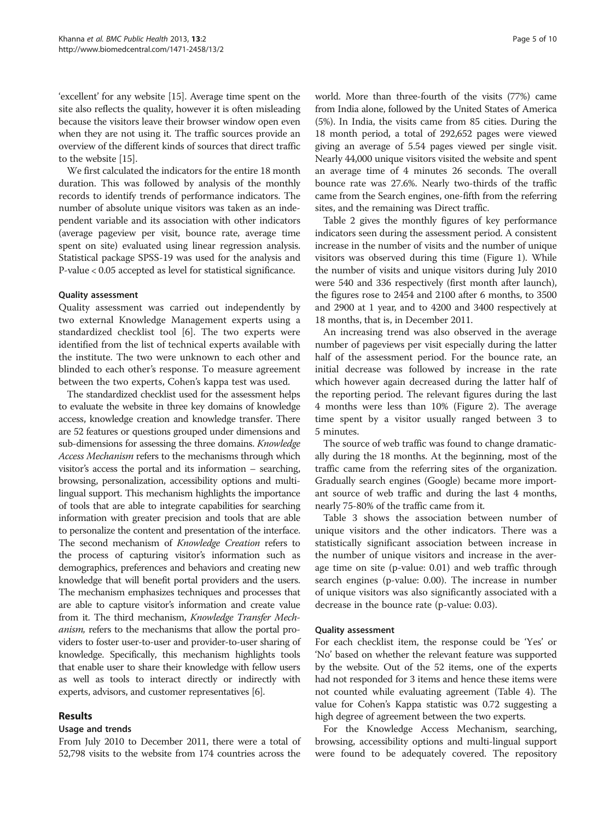'excellent' for any website [[15](#page-9-0)]. Average time spent on the site also reflects the quality, however it is often misleading because the visitors leave their browser window open even when they are not using it. The traffic sources provide an overview of the different kinds of sources that direct traffic to the website [\[15\]](#page-9-0).

We first calculated the indicators for the entire 18 month duration. This was followed by analysis of the monthly records to identify trends of performance indicators. The number of absolute unique visitors was taken as an independent variable and its association with other indicators (average pageview per visit, bounce rate, average time spent on site) evaluated using linear regression analysis. Statistical package SPSS-19 was used for the analysis and P-value < 0.05 accepted as level for statistical significance.

#### Quality assessment

Quality assessment was carried out independently by two external Knowledge Management experts using a standardized checklist tool [[6\]](#page-9-0). The two experts were identified from the list of technical experts available with the institute. The two were unknown to each other and blinded to each other's response. To measure agreement between the two experts, Cohen's kappa test was used.

The standardized checklist used for the assessment helps to evaluate the website in three key domains of knowledge access, knowledge creation and knowledge transfer. There are 52 features or questions grouped under dimensions and sub-dimensions for assessing the three domains. Knowledge Access Mechanism refers to the mechanisms through which visitor's access the portal and its information – searching, browsing, personalization, accessibility options and multilingual support. This mechanism highlights the importance of tools that are able to integrate capabilities for searching information with greater precision and tools that are able to personalize the content and presentation of the interface. The second mechanism of Knowledge Creation refers to the process of capturing visitor's information such as demographics, preferences and behaviors and creating new knowledge that will benefit portal providers and the users. The mechanism emphasizes techniques and processes that are able to capture visitor's information and create value from it. The third mechanism, Knowledge Transfer Mech*anism*, refers to the mechanisms that allow the portal providers to foster user-to-user and provider-to-user sharing of knowledge. Specifically, this mechanism highlights tools that enable user to share their knowledge with fellow users as well as tools to interact directly or indirectly with experts, advisors, and customer representatives [[6](#page-9-0)].

# Results

# Usage and trends

From July 2010 to December 2011, there were a total of 52,798 visits to the website from 174 countries across the

world. More than three-fourth of the visits (77%) came from India alone, followed by the United States of America (5%). In India, the visits came from 85 cities. During the 18 month period, a total of 292,652 pages were viewed giving an average of 5.54 pages viewed per single visit. Nearly 44,000 unique visitors visited the website and spent an average time of 4 minutes 26 seconds. The overall bounce rate was 27.6%. Nearly two-thirds of the traffic came from the Search engines, one-fifth from the referring sites, and the remaining was Direct traffic.

Table [2](#page-5-0) gives the monthly figures of key performance indicators seen during the assessment period. A consistent increase in the number of visits and the number of unique visitors was observed during this time (Figure [1\)](#page-5-0). While the number of visits and unique visitors during July 2010 were 540 and 336 respectively (first month after launch), the figures rose to 2454 and 2100 after 6 months, to 3500 and 2900 at 1 year, and to 4200 and 3400 respectively at 18 months, that is, in December 2011.

An increasing trend was also observed in the average number of pageviews per visit especially during the latter half of the assessment period. For the bounce rate, an initial decrease was followed by increase in the rate which however again decreased during the latter half of the reporting period. The relevant figures during the last 4 months were less than 10% (Figure [2](#page-6-0)). The average time spent by a visitor usually ranged between 3 to 5 minutes.

The source of web traffic was found to change dramatically during the 18 months. At the beginning, most of the traffic came from the referring sites of the organization. Gradually search engines (Google) became more important source of web traffic and during the last 4 months, nearly 75-80% of the traffic came from it.

Table [3](#page-6-0) shows the association between number of unique visitors and the other indicators. There was a statistically significant association between increase in the number of unique visitors and increase in the average time on site (p-value: 0.01) and web traffic through search engines (p-value: 0.00). The increase in number of unique visitors was also significantly associated with a decrease in the bounce rate (p-value: 0.03).

# Quality assessment

For each checklist item, the response could be 'Yes' or 'No' based on whether the relevant feature was supported by the website. Out of the 52 items, one of the experts had not responded for 3 items and hence these items were not counted while evaluating agreement (Table [4\)](#page-6-0). The value for Cohen's Kappa statistic was 0.72 suggesting a high degree of agreement between the two experts.

For the Knowledge Access Mechanism, searching, browsing, accessibility options and multi-lingual support were found to be adequately covered. The repository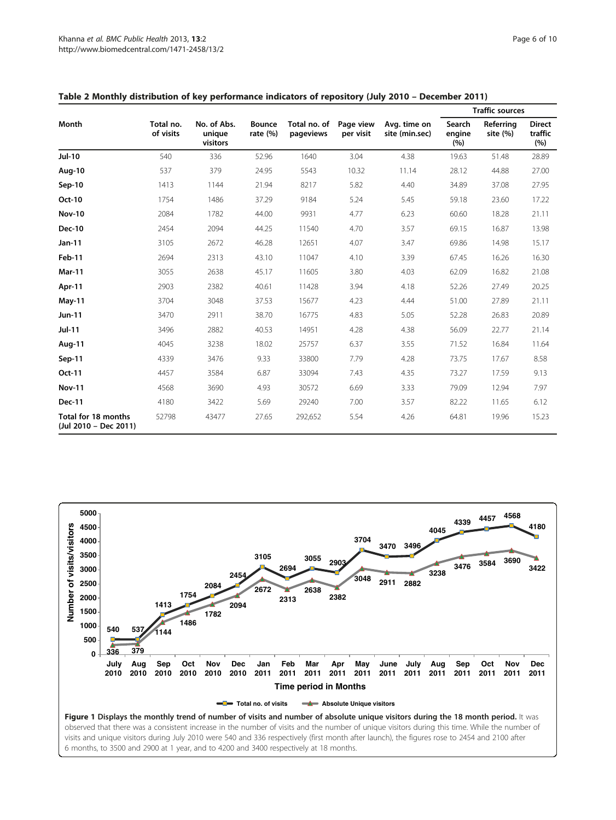|                                              |                        |                                   |                             |                           |                        |                                |                         | <b>Traffic sources</b> |                                 |
|----------------------------------------------|------------------------|-----------------------------------|-----------------------------|---------------------------|------------------------|--------------------------------|-------------------------|------------------------|---------------------------------|
| Month                                        | Total no.<br>of visits | No. of Abs.<br>unique<br>visitors | <b>Bounce</b><br>rate $(%)$ | Total no. of<br>pageviews | Page view<br>per visit | Avg. time on<br>site (min.sec) | Search<br>engine<br>(%) | Referring<br>site (%)  | <b>Direct</b><br>traffic<br>(%) |
| <b>Jul-10</b>                                | 540                    | 336                               | 52.96                       | 1640                      | 3.04                   | 4.38                           | 19.63                   | 51.48                  | 28.89                           |
| Aug-10                                       | 537                    | 379                               | 24.95                       | 5543                      | 10.32                  | 11.14                          | 28.12                   | 44.88                  | 27.00                           |
| Sep-10                                       | 1413                   | 1144                              | 21.94                       | 8217                      | 5.82                   | 4.40                           | 34.89                   | 37.08                  | 27.95                           |
| Oct-10                                       | 1754                   | 1486                              | 37.29                       | 9184                      | 5.24                   | 5.45                           | 59.18                   | 23.60                  | 17.22                           |
| <b>Nov-10</b>                                | 2084                   | 1782                              | 44.00                       | 9931                      | 4.77                   | 6.23                           | 60.60                   | 18.28                  | 21.11                           |
| <b>Dec-10</b>                                | 2454                   | 2094                              | 44.25                       | 11540                     | 4.70                   | 3.57                           | 69.15                   | 16.87                  | 13.98                           |
| Jan-11                                       | 3105                   | 2672                              | 46.28                       | 12651                     | 4.07                   | 3.47                           | 69.86                   | 14.98                  | 15.17                           |
| Feb-11                                       | 2694                   | 2313                              | 43.10                       | 11047                     | 4.10                   | 3.39                           | 67.45                   | 16.26                  | 16.30                           |
| <b>Mar-11</b>                                | 3055                   | 2638                              | 45.17                       | 11605                     | 3.80                   | 4.03                           | 62.09                   | 16.82                  | 21.08                           |
| Apr-11                                       | 2903                   | 2382                              | 40.61                       | 11428                     | 3.94                   | 4.18                           | 52.26                   | 27.49                  | 20.25                           |
| May-11                                       | 3704                   | 3048                              | 37.53                       | 15677                     | 4.23                   | 4.44                           | 51.00                   | 27.89                  | 21.11                           |
| <b>Jun-11</b>                                | 3470                   | 2911                              | 38.70                       | 16775                     | 4.83                   | 5.05                           | 52.28                   | 26.83                  | 20.89                           |
| <b>Jul-11</b>                                | 3496                   | 2882                              | 40.53                       | 14951                     | 4.28                   | 4.38                           | 56.09                   | 22.77                  | 21.14                           |
| Aug-11                                       | 4045                   | 3238                              | 18.02                       | 25757                     | 6.37                   | 3.55                           | 71.52                   | 16.84                  | 11.64                           |
| Sep-11                                       | 4339                   | 3476                              | 9.33                        | 33800                     | 7.79                   | 4.28                           | 73.75                   | 17.67                  | 8.58                            |
| Oct-11                                       | 4457                   | 3584                              | 6.87                        | 33094                     | 7.43                   | 4.35                           | 73.27                   | 17.59                  | 9.13                            |
| <b>Nov-11</b>                                | 4568                   | 3690                              | 4.93                        | 30572                     | 6.69                   | 3.33                           | 79.09                   | 12.94                  | 7.97                            |
| <b>Dec-11</b>                                | 4180                   | 3422                              | 5.69                        | 29240                     | 7.00                   | 3.57                           | 82.22                   | 11.65                  | 6.12                            |
| Total for 18 months<br>(Jul 2010 - Dec 2011) | 52798                  | 43477                             | 27.65                       | 292,652                   | 5.54                   | 4.26                           | 64.81                   | 19.96                  | 15.23                           |

<span id="page-5-0"></span>

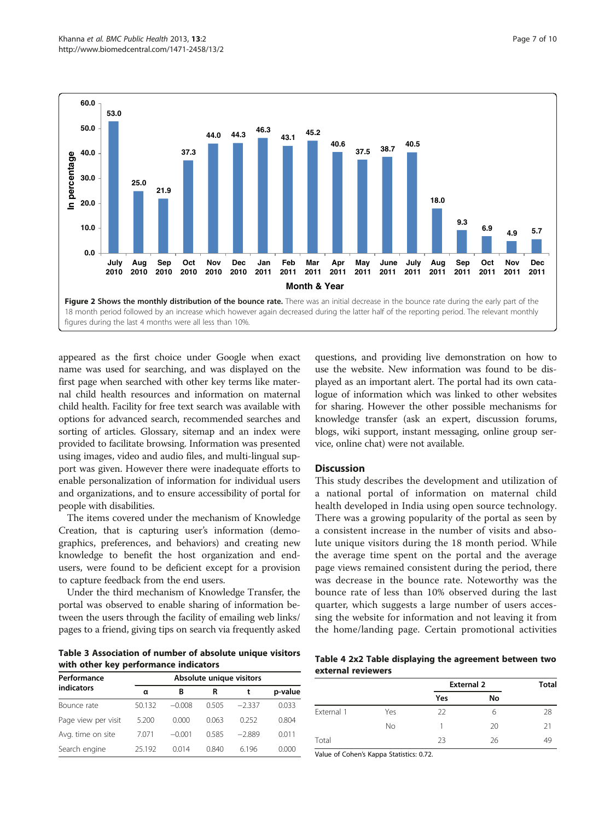<span id="page-6-0"></span>

appeared as the first choice under Google when exact name was used for searching, and was displayed on the first page when searched with other key terms like maternal child health resources and information on maternal child health. Facility for free text search was available with options for advanced search, recommended searches and sorting of articles. Glossary, sitemap and an index were provided to facilitate browsing. Information was presented using images, video and audio files, and multi-lingual support was given. However there were inadequate efforts to enable personalization of information for individual users and organizations, and to ensure accessibility of portal for people with disabilities.

The items covered under the mechanism of Knowledge Creation, that is capturing user's information (demographics, preferences, and behaviors) and creating new knowledge to benefit the host organization and endusers, were found to be deficient except for a provision to capture feedback from the end users.

Under the third mechanism of Knowledge Transfer, the portal was observed to enable sharing of information between the users through the facility of emailing web links/ pages to a friend, giving tips on search via frequently asked

Table 3 Association of number of absolute unique visitors with other key performance indicators

| Performance         | Absolute unique visitors |          |       |          |         |  |  |
|---------------------|--------------------------|----------|-------|----------|---------|--|--|
| indicators          | α                        | в        | R     |          | p-value |  |  |
| Bounce rate         | 50.132                   | $-0.008$ | 0.505 | $-2.337$ | 0.033   |  |  |
| Page view per visit | 5.200                    | 0.000    | 0.063 | 0.252    | 0.804   |  |  |
| Avg. time on site   | 7.071                    | $-0.001$ | 0.585 | $-2889$  | 0.011   |  |  |
| Search engine       | 25192                    | 0.014    | 0.840 | 6.196    | 0.000   |  |  |

questions, and providing live demonstration on how to use the website. New information was found to be displayed as an important alert. The portal had its own catalogue of information which was linked to other websites for sharing. However the other possible mechanisms for knowledge transfer (ask an expert, discussion forums, blogs, wiki support, instant messaging, online group service, online chat) were not available.

# **Discussion**

This study describes the development and utilization of a national portal of information on maternal child health developed in India using open source technology. There was a growing popularity of the portal as seen by a consistent increase in the number of visits and absolute unique visitors during the 18 month period. While the average time spent on the portal and the average page views remained consistent during the period, there was decrease in the bounce rate. Noteworthy was the bounce rate of less than 10% observed during the last quarter, which suggests a large number of users accessing the website for information and not leaving it from the home/landing page. Certain promotional activities

|                    |  |  | Table 4 2x2 Table displaying the agreement between two |  |
|--------------------|--|--|--------------------------------------------------------|--|
| external reviewers |  |  |                                                        |  |

|            |     | <b>External 2</b> | <b>Total</b> |    |
|------------|-----|-------------------|--------------|----|
|            |     | Yes               | No           |    |
| External 1 | Yes | 22                | h            | 28 |
|            | No  |                   | 20           | 21 |
| Total      |     | フ3                | 26           | 49 |

Value of Cohen's Kappa Statistics: 0.72.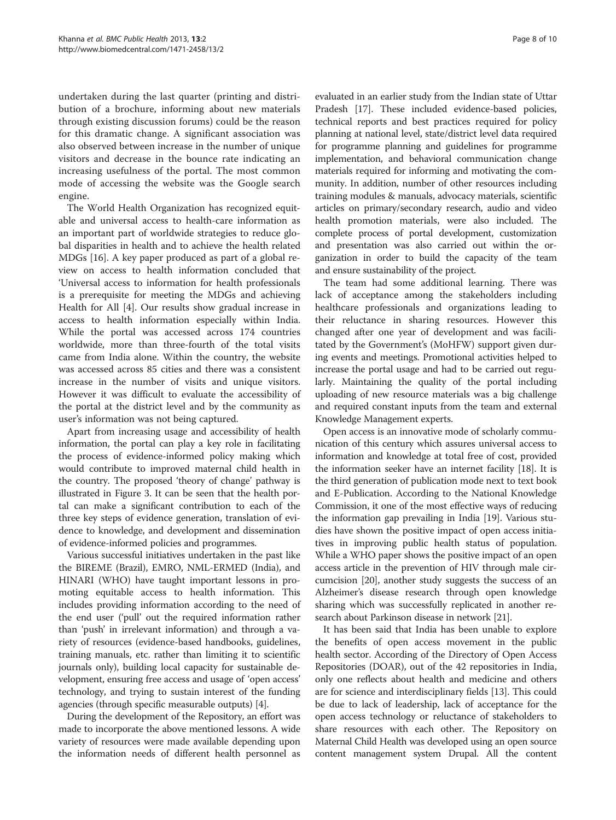undertaken during the last quarter (printing and distribution of a brochure, informing about new materials through existing discussion forums) could be the reason for this dramatic change. A significant association was also observed between increase in the number of unique visitors and decrease in the bounce rate indicating an increasing usefulness of the portal. The most common mode of accessing the website was the Google search engine.

The World Health Organization has recognized equitable and universal access to health-care information as an important part of worldwide strategies to reduce global disparities in health and to achieve the health related MDGs [\[16\]](#page-9-0). A key paper produced as part of a global review on access to health information concluded that 'Universal access to information for health professionals is a prerequisite for meeting the MDGs and achieving Health for All [\[4](#page-9-0)]. Our results show gradual increase in access to health information especially within India. While the portal was accessed across 174 countries worldwide, more than three-fourth of the total visits came from India alone. Within the country, the website was accessed across 85 cities and there was a consistent increase in the number of visits and unique visitors. However it was difficult to evaluate the accessibility of the portal at the district level and by the community as user's information was not being captured.

Apart from increasing usage and accessibility of health information, the portal can play a key role in facilitating the process of evidence-informed policy making which would contribute to improved maternal child health in the country. The proposed 'theory of change' pathway is illustrated in Figure [3](#page-8-0). It can be seen that the health portal can make a significant contribution to each of the three key steps of evidence generation, translation of evidence to knowledge, and development and dissemination of evidence-informed policies and programmes.

Various successful initiatives undertaken in the past like the BIREME (Brazil), EMRO, NML-ERMED (India), and HINARI (WHO) have taught important lessons in promoting equitable access to health information. This includes providing information according to the need of the end user ('pull' out the required information rather than 'push' in irrelevant information) and through a variety of resources (evidence-based handbooks, guidelines, training manuals, etc. rather than limiting it to scientific journals only), building local capacity for sustainable development, ensuring free access and usage of 'open access' technology, and trying to sustain interest of the funding agencies (through specific measurable outputs) [\[4\]](#page-9-0).

During the development of the Repository, an effort was made to incorporate the above mentioned lessons. A wide variety of resources were made available depending upon the information needs of different health personnel as

evaluated in an earlier study from the Indian state of Uttar Pradesh [\[17\]](#page-9-0). These included evidence-based policies, technical reports and best practices required for policy planning at national level, state/district level data required for programme planning and guidelines for programme implementation, and behavioral communication change materials required for informing and motivating the community. In addition, number of other resources including training modules & manuals, advocacy materials, scientific articles on primary/secondary research, audio and video health promotion materials, were also included. The complete process of portal development, customization and presentation was also carried out within the organization in order to build the capacity of the team and ensure sustainability of the project.

The team had some additional learning. There was lack of acceptance among the stakeholders including healthcare professionals and organizations leading to their reluctance in sharing resources. However this changed after one year of development and was facilitated by the Government's (MoHFW) support given during events and meetings. Promotional activities helped to increase the portal usage and had to be carried out regularly. Maintaining the quality of the portal including uploading of new resource materials was a big challenge and required constant inputs from the team and external Knowledge Management experts.

Open access is an innovative mode of scholarly communication of this century which assures universal access to information and knowledge at total free of cost, provided the information seeker have an internet facility [\[18\]](#page-9-0). It is the third generation of publication mode next to text book and E-Publication. According to the National Knowledge Commission, it one of the most effective ways of reducing the information gap prevailing in India [[19](#page-9-0)]. Various studies have shown the positive impact of open access initiatives in improving public health status of population. While a WHO paper shows the positive impact of an open access article in the prevention of HIV through male circumcision [[20](#page-9-0)], another study suggests the success of an Alzheimer's disease research through open knowledge sharing which was successfully replicated in another research about Parkinson disease in network [\[21](#page-9-0)].

It has been said that India has been unable to explore the benefits of open access movement in the public health sector. According of the Directory of Open Access Repositories (DOAR), out of the 42 repositories in India, only one reflects about health and medicine and others are for science and interdisciplinary fields [\[13\]](#page-9-0). This could be due to lack of leadership, lack of acceptance for the open access technology or reluctance of stakeholders to share resources with each other. The Repository on Maternal Child Health was developed using an open source content management system Drupal. All the content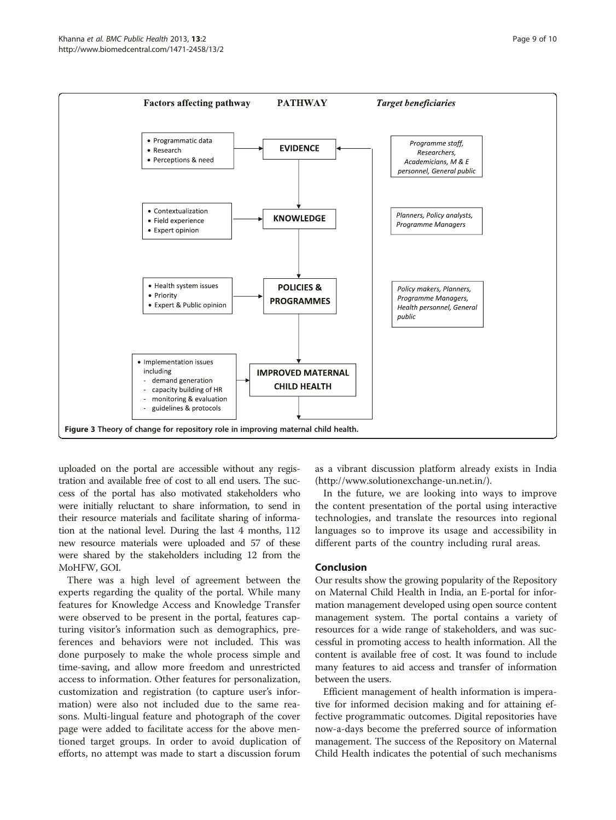<span id="page-8-0"></span>

uploaded on the portal are accessible without any registration and available free of cost to all end users. The success of the portal has also motivated stakeholders who were initially reluctant to share information, to send in their resource materials and facilitate sharing of information at the national level. During the last 4 months, 112 new resource materials were uploaded and 57 of these were shared by the stakeholders including 12 from the MoHFW, GOI.

There was a high level of agreement between the experts regarding the quality of the portal. While many features for Knowledge Access and Knowledge Transfer were observed to be present in the portal, features capturing visitor's information such as demographics, preferences and behaviors were not included. This was done purposely to make the whole process simple and time-saving, and allow more freedom and unrestricted access to information. Other features for personalization, customization and registration (to capture user's information) were also not included due to the same reasons. Multi-lingual feature and photograph of the cover page were added to facilitate access for the above mentioned target groups. In order to avoid duplication of efforts, no attempt was made to start a discussion forum

as a vibrant discussion platform already exists in India ([http://www.solutionexchange-un.net.in/\)](http://www.solutionexchange-un.net.in/).

In the future, we are looking into ways to improve the content presentation of the portal using interactive technologies, and translate the resources into regional languages so to improve its usage and accessibility in different parts of the country including rural areas.

#### Conclusion

Our results show the growing popularity of the Repository on Maternal Child Health in India, an E-portal for information management developed using open source content management system. The portal contains a variety of resources for a wide range of stakeholders, and was successful in promoting access to health information. All the content is available free of cost. It was found to include many features to aid access and transfer of information between the users.

Efficient management of health information is imperative for informed decision making and for attaining effective programmatic outcomes. Digital repositories have now-a-days become the preferred source of information management. The success of the Repository on Maternal Child Health indicates the potential of such mechanisms